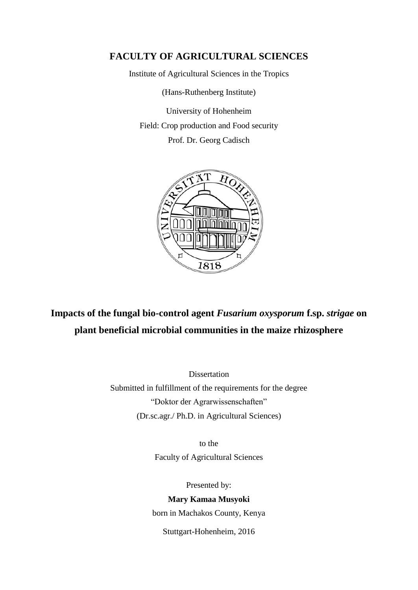## **FACULTY OF AGRICULTURAL SCIENCES**

Institute of Agricultural Sciences in the Tropics

(Hans-Ruthenberg Institute)

University of Hohenheim Field: Crop production and Food security Prof. Dr. Georg Cadisch



**Impacts of the fungal bio-control agent** *Fusarium oxysporum* **f.sp.** *strigae* **on plant beneficial microbial communities in the maize rhizosphere**

Dissertation

Submitted in fulfillment of the requirements for the degree "Doktor der Agrarwissenschaften" (Dr.sc.agr./ Ph.D. in Agricultural Sciences)

> to the Faculty of Agricultural Sciences

> > Presented by:

## **Mary Kamaa Musyoki**

born in Machakos County, Kenya

Stuttgart-Hohenheim, 2016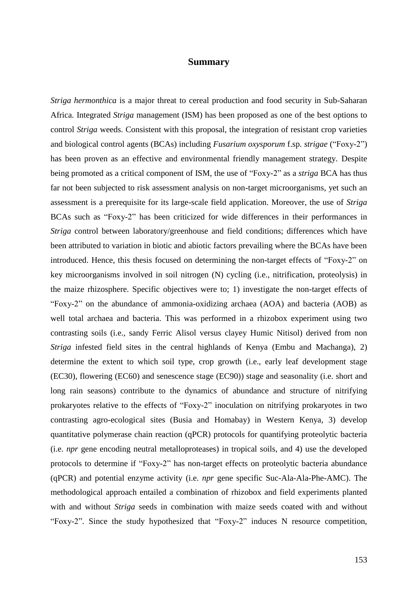## **Summary**

*Striga hermonthica* is a major threat to cereal production and food security in Sub-Saharan Africa. Integrated *Striga* management (ISM) has been proposed as one of the best options to control *Striga* weeds. Consistent with this proposal, the integration of resistant crop varieties and biological control agents (BCAs) including *Fusarium oxysporum* f.sp. *strigae* ("Foxy-2") has been proven as an effective and environmental friendly management strategy. Despite being promoted as a critical component of ISM, the use of "Foxy-2" as a *striga* BCA has thus far not been subjected to risk assessment analysis on non-target microorganisms, yet such an assessment is a prerequisite for its large-scale field application. Moreover, the use of *Striga* BCAs such as "Foxy-2" has been criticized for wide differences in their performances in *Striga* control between laboratory/greenhouse and field conditions; differences which have been attributed to variation in biotic and abiotic factors prevailing where the BCAs have been introduced. Hence, this thesis focused on determining the non-target effects of "Foxy-2" on key microorganisms involved in soil nitrogen (N) cycling (i.e., nitrification, proteolysis) in the maize rhizosphere. Specific objectives were to; 1) investigate the non-target effects of "Foxy-2" on the abundance of ammonia-oxidizing archaea (AOA) and bacteria (AOB) as well total archaea and bacteria. This was performed in a rhizobox experiment using two contrasting soils (i.e., sandy Ferric Alisol versus clayey Humic Nitisol) derived from non *Striga* infested field sites in the central highlands of Kenya (Embu and Machanga), 2) determine the extent to which soil type, crop growth (i.e., early leaf development stage (EC30), flowering (EC60) and senescence stage (EC90)) stage and seasonality (i.e. short and long rain seasons) contribute to the dynamics of abundance and structure of nitrifying prokaryotes relative to the effects of "Foxy-2" inoculation on nitrifying prokaryotes in two contrasting agro-ecological sites (Busia and Homabay) in Western Kenya, 3) develop quantitative polymerase chain reaction (qPCR) protocols for quantifying proteolytic bacteria (i.e. *npr* gene encoding neutral metalloproteases) in tropical soils, and 4) use the developed protocols to determine if "Foxy-2" has non-target effects on proteolytic bacteria abundance (qPCR) and potential enzyme activity (i.e. *npr* gene specific Suc-Ala-Ala-Phe-AMC). The methodological approach entailed a combination of rhizobox and field experiments planted with and without *Striga* seeds in combination with maize seeds coated with and without "Foxy-2". Since the study hypothesized that "Foxy-2" induces N resource competition,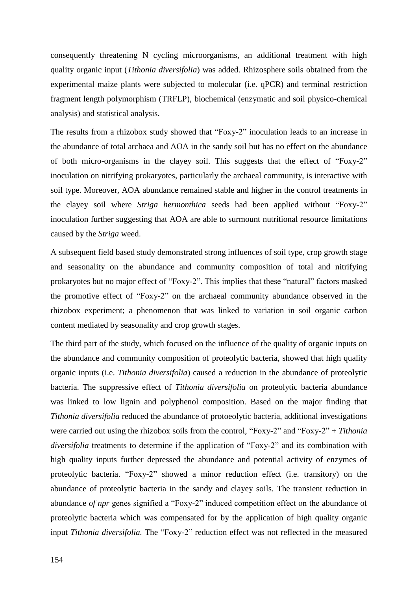consequently threatening N cycling microorganisms, an additional treatment with high quality organic input (*Tithonia diversifolia*) was added. Rhizosphere soils obtained from the experimental maize plants were subjected to molecular (i.e. qPCR) and terminal restriction fragment length polymorphism (TRFLP), biochemical (enzymatic and soil physico-chemical analysis) and statistical analysis.

The results from a rhizobox study showed that "Foxy-2" inoculation leads to an increase in the abundance of total archaea and AOA in the sandy soil but has no effect on the abundance of both micro-organisms in the clayey soil. This suggests that the effect of "Foxy-2" inoculation on nitrifying prokaryotes, particularly the archaeal community, is interactive with soil type. Moreover, AOA abundance remained stable and higher in the control treatments in the clayey soil where *Striga hermonthica* seeds had been applied without "Foxy-2" inoculation further suggesting that AOA are able to surmount nutritional resource limitations caused by the *Striga* weed.

A subsequent field based study demonstrated strong influences of soil type, crop growth stage and seasonality on the abundance and community composition of total and nitrifying prokaryotes but no major effect of "Foxy-2". This implies that these "natural" factors masked the promotive effect of "Foxy-2" on the archaeal community abundance observed in the rhizobox experiment; a phenomenon that was linked to variation in soil organic carbon content mediated by seasonality and crop growth stages.

The third part of the study, which focused on the influence of the quality of organic inputs on the abundance and community composition of proteolytic bacteria, showed that high quality organic inputs (i.e. *Tithonia diversifolia*) caused a reduction in the abundance of proteolytic bacteria. The suppressive effect of *Tithonia diversifolia* on proteolytic bacteria abundance was linked to low lignin and polyphenol composition. Based on the major finding that *Tithonia diversifolia* reduced the abundance of protoeolytic bacteria, additional investigations were carried out using the rhizobox soils from the control, "Foxy-2" and "Foxy-2" + *Tithonia diversifolia* treatments to determine if the application of "Foxy-2" and its combination with high quality inputs further depressed the abundance and potential activity of enzymes of proteolytic bacteria. "Foxy-2" showed a minor reduction effect (i.e. transitory) on the abundance of proteolytic bacteria in the sandy and clayey soils. The transient reduction in abundance *of npr* genes signified a "Foxy-2" induced competition effect on the abundance of proteolytic bacteria which was compensated for by the application of high quality organic input *Tithonia diversifolia.* The "Foxy-2" reduction effect was not reflected in the measured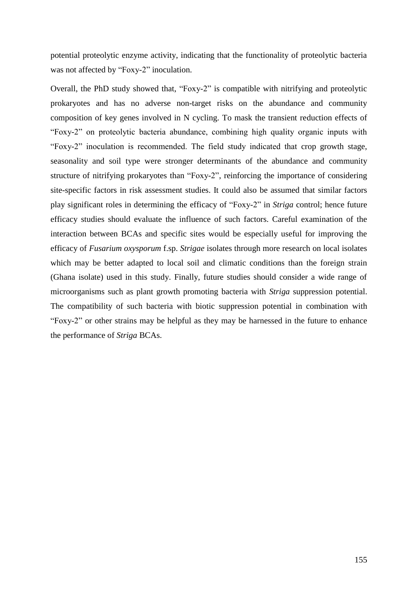potential proteolytic enzyme activity, indicating that the functionality of proteolytic bacteria was not affected by "Foxy-2" inoculation.

Overall, the PhD study showed that, "Foxy-2" is compatible with nitrifying and proteolytic prokaryotes and has no adverse non-target risks on the abundance and community composition of key genes involved in N cycling. To mask the transient reduction effects of "Foxy-2" on proteolytic bacteria abundance, combining high quality organic inputs with "Foxy-2" inoculation is recommended. The field study indicated that crop growth stage, seasonality and soil type were stronger determinants of the abundance and community structure of nitrifying prokaryotes than "Foxy-2", reinforcing the importance of considering site-specific factors in risk assessment studies. It could also be assumed that similar factors play significant roles in determining the efficacy of "Foxy-2" in *Striga* control; hence future efficacy studies should evaluate the influence of such factors. Careful examination of the interaction between BCAs and specific sites would be especially useful for improving the efficacy of *Fusarium oxysporum* f.sp. *Strigae* isolates through more research on local isolates which may be better adapted to local soil and climatic conditions than the foreign strain (Ghana isolate) used in this study. Finally, future studies should consider a wide range of microorganisms such as plant growth promoting bacteria with *Striga* suppression potential. The compatibility of such bacteria with biotic suppression potential in combination with "Foxy-2" or other strains may be helpful as they may be harnessed in the future to enhance the performance of *Striga* BCAs.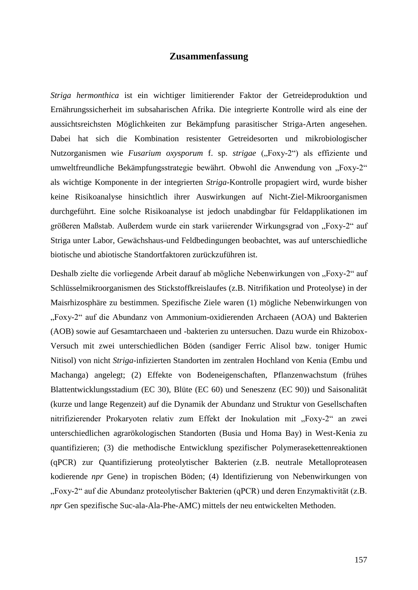## **Zusammenfassung**

*Striga hermonthica* ist ein wichtiger limitierender Faktor der Getreideproduktion und Ernährungssicherheit im subsaharischen Afrika. Die integrierte Kontrolle wird als eine der aussichtsreichsten Möglichkeiten zur Bekämpfung parasitischer Striga-Arten angesehen. Dabei hat sich die Kombination resistenter Getreidesorten und mikrobiologischer Nutzorganismen wie *Fusarium oxysporum* f. sp. *strigae* ("Foxy-2") als effiziente und umweltfreundliche Bekämpfungsstrategie bewährt. Obwohl die Anwendung von "Foxy-2" als wichtige Komponente in der integrierten *Striga*-Kontrolle propagiert wird, wurde bisher keine Risikoanalyse hinsichtlich ihrer Auswirkungen auf Nicht-Ziel-Mikroorganismen durchgeführt. Eine solche Risikoanalyse ist jedoch unabdingbar für Feldapplikationen im größeren Maßstab. Außerdem wurde ein stark variierender Wirkungsgrad von "Foxy-2" auf Striga unter Labor, Gewächshaus-und Feldbedingungen beobachtet, was auf unterschiedliche biotische und abiotische Standortfaktoren zurückzuführen ist.

Deshalb zielte die vorliegende Arbeit darauf ab mögliche Nebenwirkungen von "Foxy-2" auf Schlüsselmikroorganismen des Stickstoffkreislaufes (z.B. Nitrifikation und Proteolyse) in der Maisrhizosphäre zu bestimmen. Spezifische Ziele waren (1) mögliche Nebenwirkungen von "Foxy-2" auf die Abundanz von Ammonium-oxidierenden Archaeen (AOA) und Bakterien (AOB) sowie auf Gesamtarchaeen und -bakterien zu untersuchen. Dazu wurde ein Rhizobox-Versuch mit zwei unterschiedlichen Böden (sandiger Ferric Alisol bzw. toniger Humic Nitisol) von nicht *Striga*-infizierten Standorten im zentralen Hochland von Kenia (Embu und Machanga) angelegt; (2) Effekte von Bodeneigenschaften, Pflanzenwachstum (frühes Blattentwicklungsstadium (EC 30), Blüte (EC 60) und Seneszenz (EC 90)) und Saisonalität (kurze und lange Regenzeit) auf die Dynamik der Abundanz und Struktur von Gesellschaften nitrifizierender Prokaryoten relativ zum Effekt der Inokulation mit "Foxy-2" an zwei unterschiedlichen agrarökologischen Standorten (Busia und Homa Bay) in West-Kenia zu quantifizieren; (3) die methodische Entwicklung spezifischer Polymerasekettenreaktionen (qPCR) zur Quantifizierung proteolytischer Bakterien (z.B. neutrale Metalloproteasen kodierende *npr* Gene) in tropischen Böden; (4) Identifizierung von Nebenwirkungen von "Foxy-2" auf die Abundanz proteolytischer Bakterien (qPCR) und deren Enzymaktivität (z.B. *npr* Gen spezifische Suc-ala-Ala-Phe-AMC) mittels der neu entwickelten Methoden.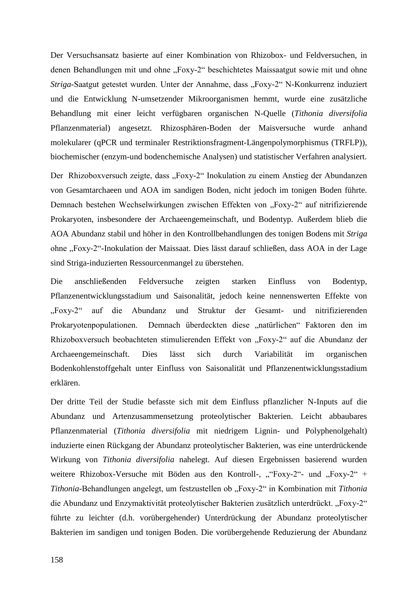Der Versuchsansatz basierte auf einer Kombination von Rhizobox- und Feldversuchen, in denen Behandlungen mit und ohne "Foxy-2" beschichtetes Maissaatgut sowie mit und ohne *Striga*-Saatgut getestet wurden. Unter der Annahme, dass "Foxy-2" N-Konkurrenz induziert und die Entwicklung N-umsetzender Mikroorganismen hemmt, wurde eine zusätzliche Behandlung mit einer leicht verfügbaren organischen N-Quelle (*Tithonia diversifolia*  Pflanzenmaterial) angesetzt. Rhizosphären-Boden der Maisversuche wurde anhand molekularer (qPCR und terminaler Restriktionsfragment-Längenpolymorphismus (TRFLP)), biochemischer (enzym-und bodenchemische Analysen) und statistischer Verfahren analysiert.

Der Rhizoboxversuch zeigte, dass "Foxy-2" Inokulation zu einem Anstieg der Abundanzen von Gesamtarchaeen und AOA im sandigen Boden, nicht jedoch im tonigen Boden führte. Demnach bestehen Wechselwirkungen zwischen Effekten von "Foxy-2" auf nitrifizierende Prokaryoten, insbesondere der Archaeengemeinschaft, und Bodentyp. Außerdem blieb die AOA Abundanz stabil und höher in den Kontrollbehandlungen des tonigen Bodens mit *Striga* ohne "Foxy-2"-Inokulation der Maissaat. Dies lässt darauf schließen, dass AOA in der Lage sind Striga-induzierten Ressourcenmangel zu überstehen.

Die anschließenden Feldversuche zeigten starken Einfluss von Bodentyp, Pflanzenentwicklungsstadium und Saisonalität, jedoch keine nennenswerten Effekte von "Foxy-2" auf die Abundanz und Struktur der Gesamt- und nitrifizierenden Prokaryotenpopulationen. Demnach überdeckten diese "natürlichen" Faktoren den im Rhizoboxversuch beobachteten stimulierenden Effekt von "Foxy-2" auf die Abundanz der Archaeengemeinschaft. Dies lässt sich durch Variabilität im organischen Bodenkohlenstoffgehalt unter Einfluss von Saisonalität und Pflanzenentwicklungsstadium erklären.

Der dritte Teil der Studie befasste sich mit dem Einfluss pflanzlicher N-Inputs auf die Abundanz und Artenzusammensetzung proteolytischer Bakterien. Leicht abbaubares Pflanzenmaterial (*Tithonia diversifolia* mit niedrigem Lignin- und Polyphenolgehalt) induzierte einen Rückgang der Abundanz proteolytischer Bakterien, was eine unterdrückende Wirkung von *Tithonia diversifolia* nahelegt. Auf diesen Ergebnissen basierend wurden weitere Rhizobox-Versuche mit Böden aus den Kontroll-, ""Foxy-2"- und "Foxy-2" + *Tithonia*-Behandlungen angelegt, um festzustellen ob "Foxy-2" in Kombination mit *Tithonia* die Abundanz und Enzymaktivität proteolytischer Bakterien zusätzlich unterdrückt. "Foxy-2" führte zu leichter (d.h. vorübergehender) Unterdrückung der Abundanz proteolytischer Bakterien im sandigen und tonigen Boden. Die vorübergehende Reduzierung der Abundanz